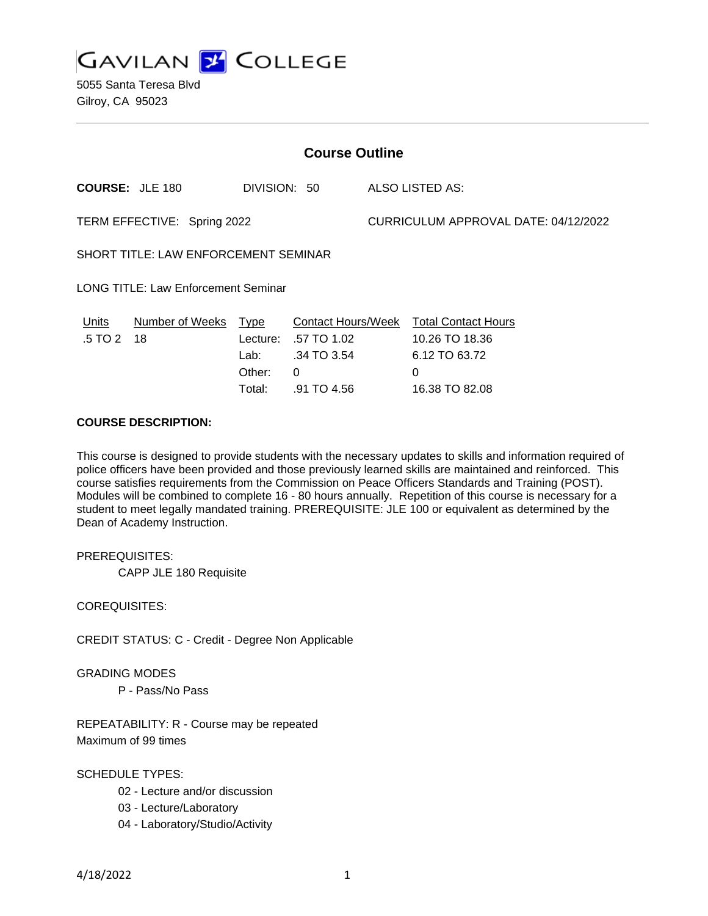

5055 Santa Teresa Blvd Gilroy, CA 95023

| <b>Course Outline</b>                       |                        |                          |                                                         |                                      |                                                               |
|---------------------------------------------|------------------------|--------------------------|---------------------------------------------------------|--------------------------------------|---------------------------------------------------------------|
|                                             | <b>COURSE: JLE 180</b> | DIVISION: 50             |                                                         |                                      | ALSO LISTED AS:                                               |
| TERM EFFECTIVE: Spring 2022                 |                        |                          |                                                         | CURRICULUM APPROVAL DATE: 04/12/2022 |                                                               |
| <b>SHORT TITLE: LAW ENFORCEMENT SEMINAR</b> |                        |                          |                                                         |                                      |                                                               |
| <b>LONG TITLE: Law Enforcement Seminar</b>  |                        |                          |                                                         |                                      |                                                               |
| Units<br>.5 TO 2                            | Number of Weeks<br>18  | Type<br>Lecture:<br>Lab: | <b>Contact Hours/Week</b><br>.57 TO 1.02<br>.34 TO 3.54 |                                      | <b>Total Contact Hours</b><br>10.26 TO 18.36<br>6.12 TO 63.72 |
|                                             |                        | Other:<br>Total:         | 0<br>.91 TO 4.56                                        |                                      | $\Omega$<br>16.38 TO 82.08                                    |

## **COURSE DESCRIPTION:**

This course is designed to provide students with the necessary updates to skills and information required of police officers have been provided and those previously learned skills are maintained and reinforced. This course satisfies requirements from the Commission on Peace Officers Standards and Training (POST). Modules will be combined to complete 16 - 80 hours annually. Repetition of this course is necessary for a student to meet legally mandated training. PREREQUISITE: JLE 100 or equivalent as determined by the Dean of Academy Instruction.

PREREQUISITES:

CAPP JLE 180 Requisite

COREQUISITES:

CREDIT STATUS: C - Credit - Degree Non Applicable

GRADING MODES

P - Pass/No Pass

REPEATABILITY: R - Course may be repeated Maximum of 99 times

SCHEDULE TYPES:

- 02 Lecture and/or discussion
- 03 Lecture/Laboratory
- 04 Laboratory/Studio/Activity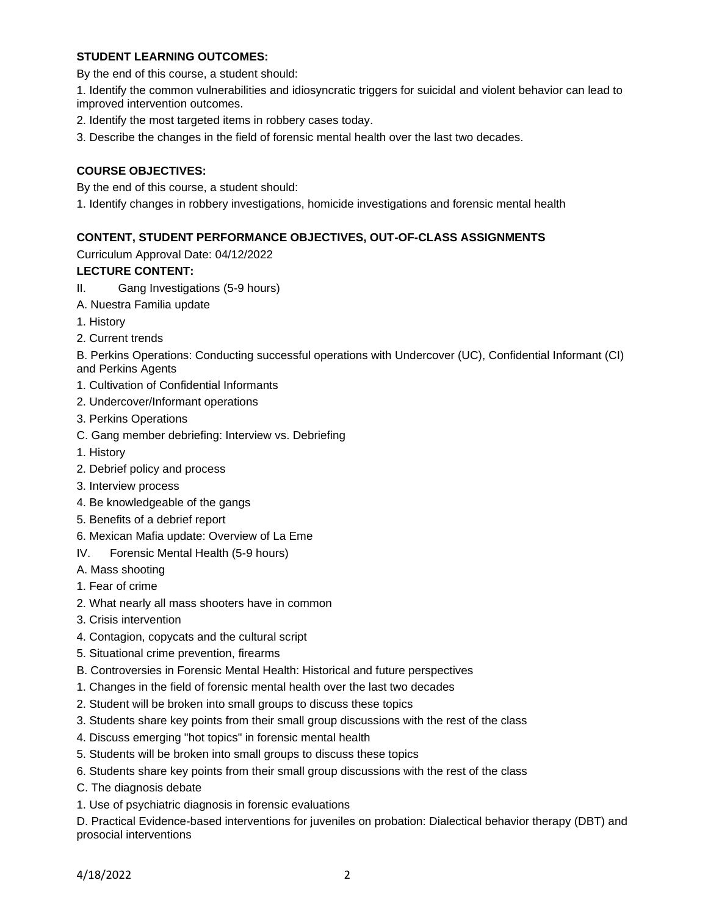### **STUDENT LEARNING OUTCOMES:**

By the end of this course, a student should:

1. Identify the common vulnerabilities and idiosyncratic triggers for suicidal and violent behavior can lead to improved intervention outcomes.

- 2. Identify the most targeted items in robbery cases today.
- 3. Describe the changes in the field of forensic mental health over the last two decades.

# **COURSE OBJECTIVES:**

By the end of this course, a student should:

1. Identify changes in robbery investigations, homicide investigations and forensic mental health

# **CONTENT, STUDENT PERFORMANCE OBJECTIVES, OUT-OF-CLASS ASSIGNMENTS**

Curriculum Approval Date: 04/12/2022

## **LECTURE CONTENT:**

- II. Gang Investigations (5-9 hours)
- A. Nuestra Familia update
- 1. History
- 2. Current trends

B. Perkins Operations: Conducting successful operations with Undercover (UC), Confidential Informant (CI) and Perkins Agents

- 1. Cultivation of Confidential Informants
- 2. Undercover/Informant operations
- 3. Perkins Operations
- C. Gang member debriefing: Interview vs. Debriefing
- 1. History
- 2. Debrief policy and process
- 3. Interview process
- 4. Be knowledgeable of the gangs
- 5. Benefits of a debrief report
- 6. Mexican Mafia update: Overview of La Eme
- IV. Forensic Mental Health (5-9 hours)
- A. Mass shooting
- 1. Fear of crime
- 2. What nearly all mass shooters have in common
- 3. Crisis intervention
- 4. Contagion, copycats and the cultural script
- 5. Situational crime prevention, firearms
- B. Controversies in Forensic Mental Health: Historical and future perspectives
- 1. Changes in the field of forensic mental health over the last two decades
- 2. Student will be broken into small groups to discuss these topics
- 3. Students share key points from their small group discussions with the rest of the class
- 4. Discuss emerging "hot topics" in forensic mental health
- 5. Students will be broken into small groups to discuss these topics
- 6. Students share key points from their small group discussions with the rest of the class
- C. The diagnosis debate
- 1. Use of psychiatric diagnosis in forensic evaluations

D. Practical Evidence-based interventions for juveniles on probation: Dialectical behavior therapy (DBT) and prosocial interventions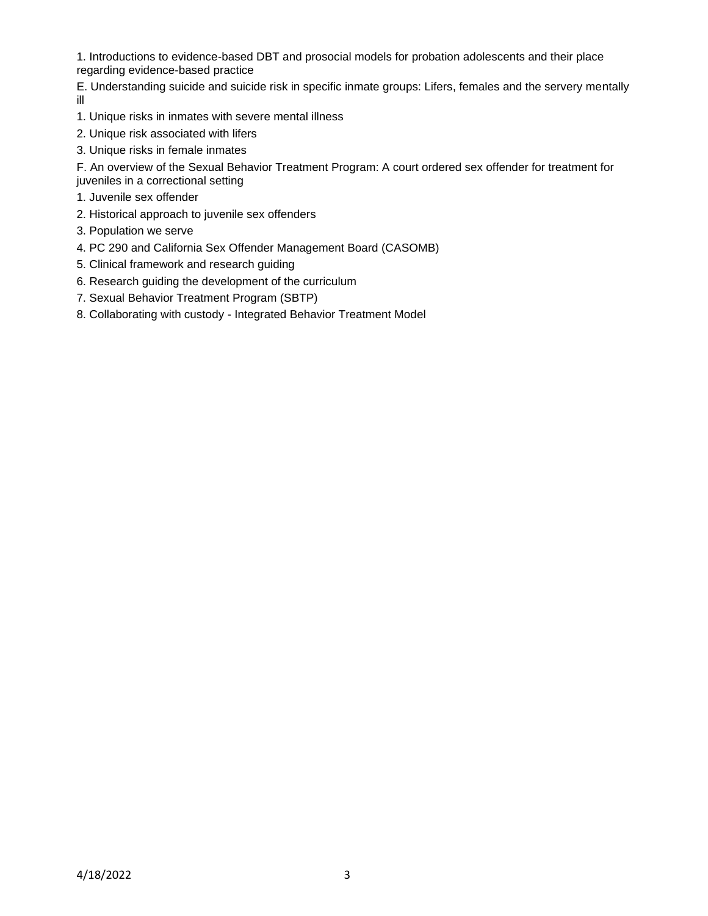1. Introductions to evidence-based DBT and prosocial models for probation adolescents and their place regarding evidence-based practice

E. Understanding suicide and suicide risk in specific inmate groups: Lifers, females and the servery mentally ill

- 1. Unique risks in inmates with severe mental illness
- 2. Unique risk associated with lifers
- 3. Unique risks in female inmates

F. An overview of the Sexual Behavior Treatment Program: A court ordered sex offender for treatment for juveniles in a correctional setting

- 1. Juvenile sex offender
- 2. Historical approach to juvenile sex offenders
- 3. Population we serve
- 4. PC 290 and California Sex Offender Management Board (CASOMB)
- 5. Clinical framework and research guiding
- 6. Research guiding the development of the curriculum
- 7. Sexual Behavior Treatment Program (SBTP)
- 8. Collaborating with custody Integrated Behavior Treatment Model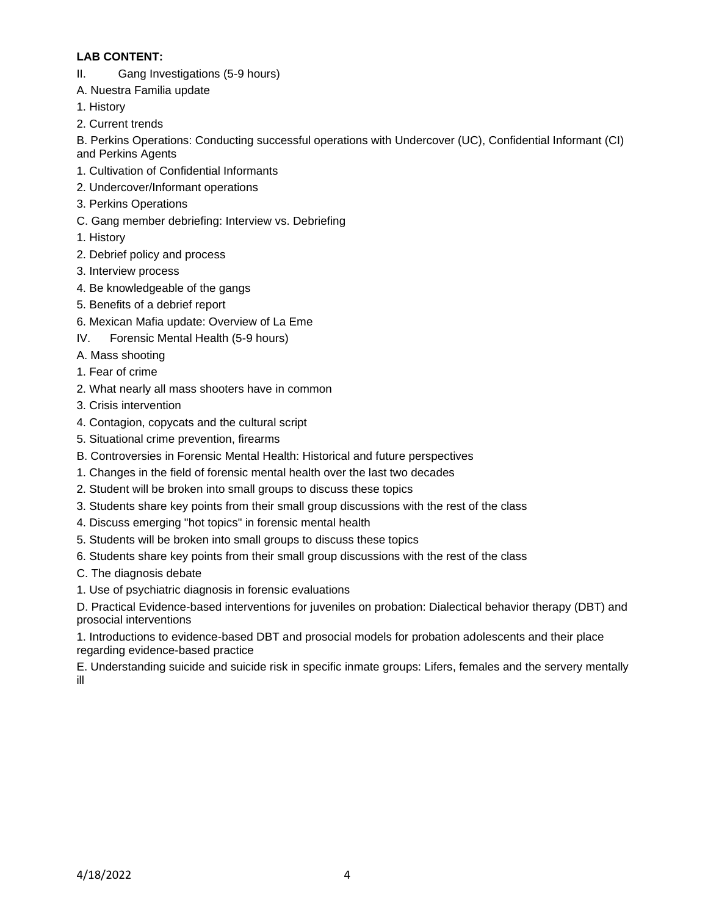## **LAB CONTENT:**

- II. Gang Investigations (5-9 hours)
- A. Nuestra Familia update
- 1. History
- 2. Current trends

B. Perkins Operations: Conducting successful operations with Undercover (UC), Confidential Informant (CI) and Perkins Agents

- 1. Cultivation of Confidential Informants
- 2. Undercover/Informant operations
- 3. Perkins Operations
- C. Gang member debriefing: Interview vs. Debriefing
- 1. History
- 2. Debrief policy and process
- 3. Interview process
- 4. Be knowledgeable of the gangs
- 5. Benefits of a debrief report
- 6. Mexican Mafia update: Overview of La Eme
- IV. Forensic Mental Health (5-9 hours)
- A. Mass shooting
- 1. Fear of crime
- 2. What nearly all mass shooters have in common
- 3. Crisis intervention
- 4. Contagion, copycats and the cultural script
- 5. Situational crime prevention, firearms
- B. Controversies in Forensic Mental Health: Historical and future perspectives
- 1. Changes in the field of forensic mental health over the last two decades
- 2. Student will be broken into small groups to discuss these topics
- 3. Students share key points from their small group discussions with the rest of the class
- 4. Discuss emerging "hot topics" in forensic mental health
- 5. Students will be broken into small groups to discuss these topics
- 6. Students share key points from their small group discussions with the rest of the class
- C. The diagnosis debate
- 1. Use of psychiatric diagnosis in forensic evaluations

D. Practical Evidence-based interventions for juveniles on probation: Dialectical behavior therapy (DBT) and prosocial interventions

1. Introductions to evidence-based DBT and prosocial models for probation adolescents and their place regarding evidence-based practice

E. Understanding suicide and suicide risk in specific inmate groups: Lifers, females and the servery mentally ill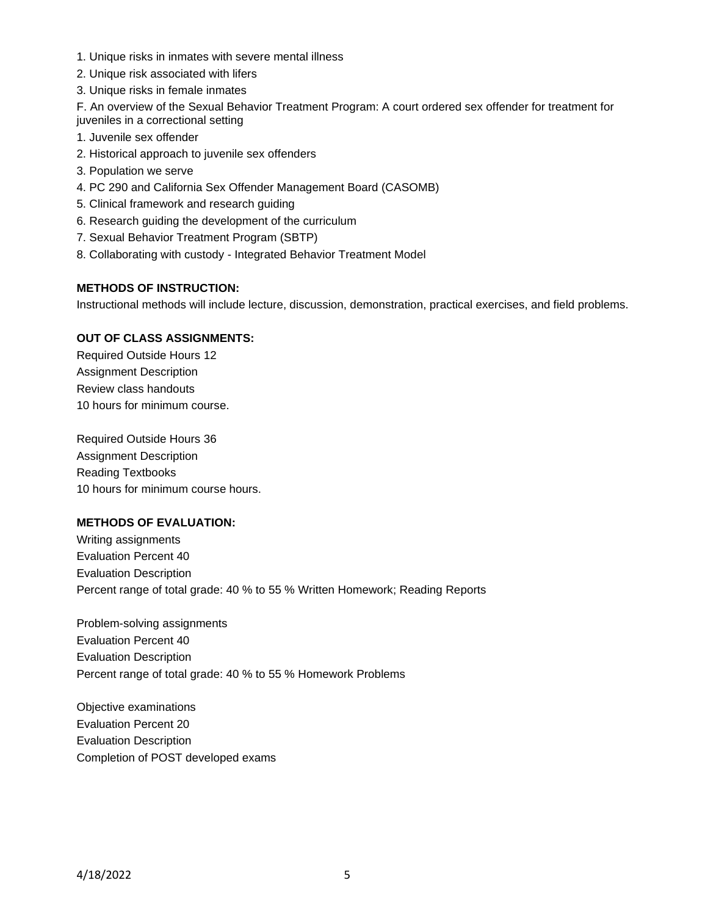- 1. Unique risks in inmates with severe mental illness
- 2. Unique risk associated with lifers
- 3. Unique risks in female inmates

F. An overview of the Sexual Behavior Treatment Program: A court ordered sex offender for treatment for juveniles in a correctional setting

- 1. Juvenile sex offender
- 2. Historical approach to juvenile sex offenders
- 3. Population we serve
- 4. PC 290 and California Sex Offender Management Board (CASOMB)
- 5. Clinical framework and research guiding
- 6. Research guiding the development of the curriculum
- 7. Sexual Behavior Treatment Program (SBTP)
- 8. Collaborating with custody Integrated Behavior Treatment Model

#### **METHODS OF INSTRUCTION:**

Instructional methods will include lecture, discussion, demonstration, practical exercises, and field problems.

## **OUT OF CLASS ASSIGNMENTS:**

Required Outside Hours 12 Assignment Description Review class handouts 10 hours for minimum course.

Required Outside Hours 36 Assignment Description Reading Textbooks 10 hours for minimum course hours.

# **METHODS OF EVALUATION:**

Writing assignments Evaluation Percent 40 Evaluation Description Percent range of total grade: 40 % to 55 % Written Homework; Reading Reports

Problem-solving assignments Evaluation Percent 40 Evaluation Description Percent range of total grade: 40 % to 55 % Homework Problems

Objective examinations Evaluation Percent 20 Evaluation Description Completion of POST developed exams